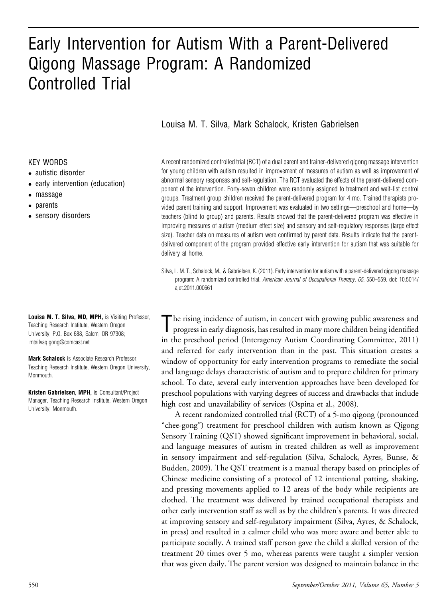# Early Intervention for Autism With a Parent-Delivered Qigong Massage Program: A Randomized Controlled Trial

#### Louisa M. T. Silva, Mark Schalock, Kristen Gabrielsen

#### KEY WORDS

- autistic disorder
- early intervention (education)
- massage
- parents
- sensory disorders

Louisa M. T. Silva, MD, MPH, is Visiting Professor, Teaching Research Institute, Western Oregon University, P.O. Box 688, Salem, OR 97308; lmtsilvaqigong@comcast.net

Mark Schalock is Associate Research Professor, Teaching Research Institute, Western Oregon University, Monmouth.

Kristen Gabrielsen, MPH, is Consultant/Project Manager, Teaching Research Institute, Western Oregon University, Monmouth.

A recent randomized controlled trial (RCT) of a dual parent and trainer-delivered qigong massage intervention for young children with autism resulted in improvement of measures of autism as well as improvement of abnormal sensory responses and self-regulation. The RCT evaluated the effects of the parent-delivered component of the intervention. Forty-seven children were randomly assigned to treatment and wait-list control groups. Treatment group children received the parent-delivered program for 4 mo. Trained therapists provided parent training and support. Improvement was evaluated in two settings—preschool and home—by teachers (blind to group) and parents. Results showed that the parent-delivered program was effective in improving measures of autism (medium effect size) and sensory and self-regulatory responses (large effect size). Teacher data on measures of autism were confirmed by parent data. Results indicate that the parentdelivered component of the program provided effective early intervention for autism that was suitable for delivery at home.

Silva, L. M. T., Schalock, M., & Gabrielsen, K. (2011). Early intervention for autism with a parent-delivered qigong massage program: A randomized controlled trial. American Journal of Occupational Therapy, 65, 550-559. doi: 10.5014/ ajot.2011.000661

The rising incidence of autism, in concert with growing public awareness and progress in early diagnosis, has resulted in many more children being identified in the preschool period (Interagency Autism Coordinating Committee, 2011) and referred for early intervention than in the past. This situation creates a window of opportunity for early intervention programs to remediate the social and language delays characteristic of autism and to prepare children for primary school. To date, several early intervention approaches have been developed for preschool populations with varying degrees of success and drawbacks that include high cost and unavailability of services (Ospina et al., 2008).

A recent randomized controlled trial (RCT) of a 5-mo qigong (pronounced "chee-gong") treatment for preschool children with autism known as Qigong Sensory Training (QST) showed significant improvement in behavioral, social, and language measures of autism in treated children as well as improvement in sensory impairment and self-regulation (Silva, Schalock, Ayres, Bunse, & Budden, 2009). The QST treatment is a manual therapy based on principles of Chinese medicine consisting of a protocol of 12 intentional patting, shaking, and pressing movements applied to 12 areas of the body while recipients are clothed. The treatment was delivered by trained occupational therapists and other early intervention staff as well as by the children's parents. It was directed at improving sensory and self-regulatory impairment (Silva, Ayres, & Schalock, in press) and resulted in a calmer child who was more aware and better able to participate socially. A trained staff person gave the child a skilled version of the treatment 20 times over 5 mo, whereas parents were taught a simpler version that was given daily. The parent version was designed to maintain balance in the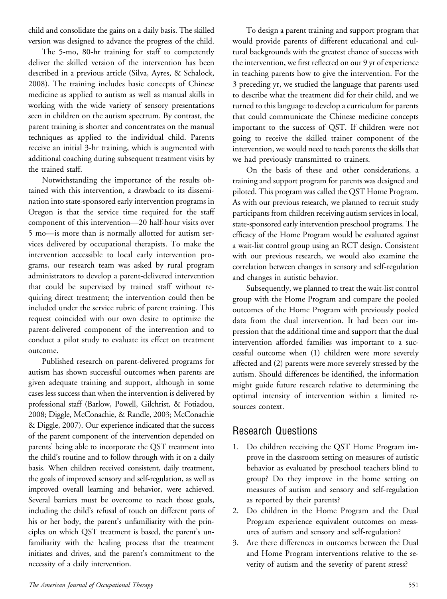child and consolidate the gains on a daily basis. The skilled version was designed to advance the progress of the child.

The 5-mo, 80-hr training for staff to competently deliver the skilled version of the intervention has been described in a previous article (Silva, Ayres, & Schalock, 2008). The training includes basic concepts of Chinese medicine as applied to autism as well as manual skills in working with the wide variety of sensory presentations seen in children on the autism spectrum. By contrast, the parent training is shorter and concentrates on the manual techniques as applied to the individual child. Parents receive an initial 3-hr training, which is augmented with additional coaching during subsequent treatment visits by the trained staff.

Notwithstanding the importance of the results obtained with this intervention, a drawback to its dissemination into state-sponsored early intervention programs in Oregon is that the service time required for the staff component of this intervention—20 half-hour visits over 5 mo—is more than is normally allotted for autism services delivered by occupational therapists. To make the intervention accessible to local early intervention programs, our research team was asked by rural program administrators to develop a parent-delivered intervention that could be supervised by trained staff without requiring direct treatment; the intervention could then be included under the service rubric of parent training. This request coincided with our own desire to optimize the parent-delivered component of the intervention and to conduct a pilot study to evaluate its effect on treatment outcome.

Published research on parent-delivered programs for autism has shown successful outcomes when parents are given adequate training and support, although in some cases less success than when the intervention is delivered by professional staff (Barlow, Powell, Gilchrist, & Fotiadou, 2008; Diggle, McConachie, & Randle, 2003; McConachie & Diggle, 2007). Our experience indicated that the success of the parent component of the intervention depended on parents' being able to incorporate the QST treatment into the child's routine and to follow through with it on a daily basis. When children received consistent, daily treatment, the goals of improved sensory and self-regulation, as well as improved overall learning and behavior, were achieved. Several barriers must be overcome to reach those goals, including the child's refusal of touch on different parts of his or her body, the parent's unfamiliarity with the principles on which QST treatment is based, the parent's unfamiliarity with the healing process that the treatment initiates and drives, and the parent's commitment to the necessity of a daily intervention.

To design a parent training and support program that would provide parents of different educational and cultural backgrounds with the greatest chance of success with the intervention, we first reflected on our 9 yr of experience in teaching parents how to give the intervention. For the 3 preceding yr, we studied the language that parents used to describe what the treatment did for their child, and we turned to this language to develop a curriculum for parents that could communicate the Chinese medicine concepts important to the success of QST. If children were not going to receive the skilled trainer component of the intervention, we would need to teach parents the skills that we had previously transmitted to trainers.

On the basis of these and other considerations, a training and support program for parents was designed and piloted. This program was called the QST Home Program. As with our previous research, we planned to recruit study participants from children receiving autism services in local, state-sponsored early intervention preschool programs. The efficacy of the Home Program would be evaluated against a wait-list control group using an RCT design. Consistent with our previous research, we would also examine the correlation between changes in sensory and self-regulation and changes in autistic behavior.

Subsequently, we planned to treat the wait-list control group with the Home Program and compare the pooled outcomes of the Home Program with previously pooled data from the dual intervention. It had been our impression that the additional time and support that the dual intervention afforded families was important to a successful outcome when (1) children were more severely affected and (2) parents were more severely stressed by the autism. Should differences be identified, the information might guide future research relative to determining the optimal intensity of intervention within a limited resources context.

# Research Questions

- 1. Do children receiving the QST Home Program improve in the classroom setting on measures of autistic behavior as evaluated by preschool teachers blind to group? Do they improve in the home setting on measures of autism and sensory and self-regulation as reported by their parents?
- 2. Do children in the Home Program and the Dual Program experience equivalent outcomes on measures of autism and sensory and self-regulation?
- 3. Are there differences in outcomes between the Dual and Home Program interventions relative to the severity of autism and the severity of parent stress?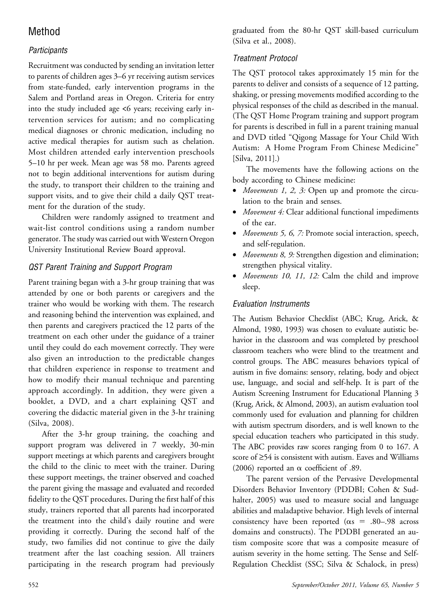# Method

# **Participants**

Recruitment was conducted by sending an invitation letter to parents of children ages 3–6 yr receiving autism services from state-funded, early intervention programs in the Salem and Portland areas in Oregon. Criteria for entry into the study included age <6 years; receiving early intervention services for autism; and no complicating medical diagnoses or chronic medication, including no active medical therapies for autism such as chelation. Most children attended early intervention preschools 5–10 hr per week. Mean age was 58 mo. Parents agreed not to begin additional interventions for autism during the study, to transport their children to the training and support visits, and to give their child a daily QST treatment for the duration of the study.

Children were randomly assigned to treatment and wait-list control conditions using a random number generator. The study was carried out with Western Oregon University Institutional Review Board approval.

## QST Parent Training and Support Program

Parent training began with a 3-hr group training that was attended by one or both parents or caregivers and the trainer who would be working with them. The research and reasoning behind the intervention was explained, and then parents and caregivers practiced the 12 parts of the treatment on each other under the guidance of a trainer until they could do each movement correctly. They were also given an introduction to the predictable changes that children experience in response to treatment and how to modify their manual technique and parenting approach accordingly. In addition, they were given a booklet, a DVD, and a chart explaining QST and covering the didactic material given in the 3-hr training (Silva, 2008).

After the 3-hr group training, the coaching and support program was delivered in 7 weekly, 30-min support meetings at which parents and caregivers brought the child to the clinic to meet with the trainer. During these support meetings, the trainer observed and coached the parent giving the massage and evaluated and recorded fidelity to the QST procedures. During the first half of this study, trainers reported that all parents had incorporated the treatment into the child's daily routine and were providing it correctly. During the second half of the study, two families did not continue to give the daily treatment after the last coaching session. All trainers participating in the research program had previously graduated from the 80-hr QST skill-based curriculum (Silva et al., 2008).

## Treatment Protocol

The QST protocol takes approximately 15 min for the parents to deliver and consists of a sequence of 12 patting, shaking, or pressing movements modified according to the physical responses of the child as described in the manual. (The QST Home Program training and support program for parents is described in full in a parent training manual and DVD titled "Qigong Massage for Your Child With Autism: A Home Program From Chinese Medicine" [Silva, 2011].)

The movements have the following actions on the body according to Chinese medicine:

- *Movements 1, 2, 3:* Open up and promote the circulation to the brain and senses.
- Movement 4: Clear additional functional impediments of the ear.
- Movements 5, 6, 7: Promote social interaction, speech, and self-regulation.
- Movements 8, 9: Strengthen digestion and elimination; strengthen physical vitality.
- Movements 10, 11, 12: Calm the child and improve sleep.

## Evaluation Instruments

The Autism Behavior Checklist (ABC; Krug, Arick, & Almond, 1980, 1993) was chosen to evaluate autistic behavior in the classroom and was completed by preschool classroom teachers who were blind to the treatment and control groups. The ABC measures behaviors typical of autism in five domains: sensory, relating, body and object use, language, and social and self-help. It is part of the Autism Screening Instrument for Educational Planning 3 (Krug, Arick, & Almond, 2003), an autism evaluation tool commonly used for evaluation and planning for children with autism spectrum disorders, and is well known to the special education teachers who participated in this study. The ABC provides raw scores ranging from 0 to 167. A score of  $\geq$ 54 is consistent with autism. Eaves and Williams (2006) reported an  $\alpha$  coefficient of .89.

The parent version of the Pervasive Developmental Disorders Behavior Inventory (PDDBI; Cohen & Sudhalter, 2005) was used to measure social and language abilities and maladaptive behavior. High levels of internal consistency have been reported ( $\alpha s = .80-.98$  across domains and constructs). The PDDBI generated an autism composite score that was a composite measure of autism severity in the home setting. The Sense and Self-Regulation Checklist (SSC; Silva & Schalock, in press)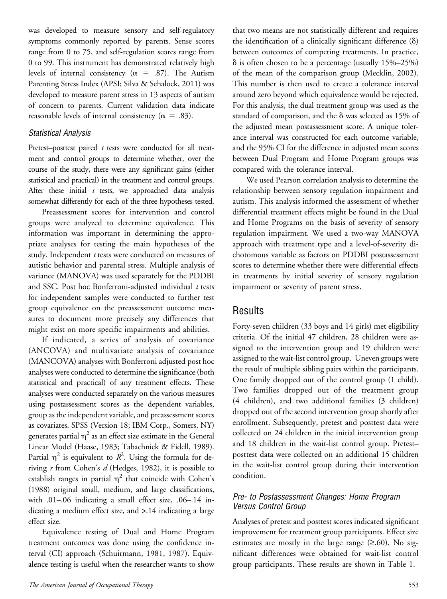was developed to measure sensory and self-regulatory symptoms commonly reported by parents. Sense scores range from 0 to 75, and self-regulation scores range from 0 to 99. This instrument has demonstrated relatively high levels of internal consistency ( $\alpha$  = .87). The Autism Parenting Stress Index (APSI; Silva & Schalock, 2011) was developed to measure parent stress in 13 aspects of autism of concern to parents. Current validation data indicate reasonable levels of internal consistency ( $\alpha = .83$ ).

#### Statistical Analysis

Pretest–posttest paired  $t$  tests were conducted for all treatment and control groups to determine whether, over the course of the study, there were any significant gains (either statistical and practical) in the treatment and control groups. After these initial  $t$  tests, we approached data analysis somewhat differently for each of the three hypotheses tested.

Preassessment scores for intervention and control groups were analyzed to determine equivalence. This information was important in determining the appropriate analyses for testing the main hypotheses of the study. Independent t tests were conducted on measures of autistic behavior and parental stress. Multiple analysis of variance (MANOVA) was used separately for the PDDBI and SSC. Post hoc Bonferroni-adjusted individual  $t$  tests for independent samples were conducted to further test group equivalence on the preassessment outcome measures to document more precisely any differences that might exist on more specific impairments and abilities.

If indicated, a series of analysis of covariance (ANCOVA) and multivariate analysis of covariance (MANCOVA) analyses with Bonferroni adjusted post hoc analyses were conducted to determine the significance (both statistical and practical) of any treatment effects. These analyses were conducted separately on the various measures using postassessment scores as the dependent variables, group as the independent variable, and preassessment scores as covariates. SPSS (Version 18; IBM Corp., Somers, NY) generates partial  $\eta^2$  as an effect size estimate in the General Linear Model (Haase, 1983; Tabachnick & Fidell, 1989). Partial  $\eta^2$  is equivalent to  $R^2$ . Using the formula for deriving  $r$  from Cohen's  $d$  (Hedges, 1982), it is possible to establish ranges in partial  $\eta^2$  that coincide with Cohen's (1988) original small, medium, and large classifications, with .01–.06 indicating a small effect size, .06–.14 indicating a medium effect size, and >.14 indicating a large effect size.

Equivalence testing of Dual and Home Program treatment outcomes was done using the confidence interval (CI) approach (Schuirmann, 1981, 1987). Equivalence testing is useful when the researcher wants to show that two means are not statistically different and requires the identification of a clinically significant difference  $(\delta)$ between outcomes of competing treatments. In practice,  $\delta$  is often chosen to be a percentage (usually 15%–25%) of the mean of the comparison group (Mecklin, 2002). This number is then used to create a tolerance interval around zero beyond which equivalence would be rejected. For this analysis, the dual treatment group was used as the standard of comparison, and the  $\delta$  was selected as 15% of the adjusted mean postassessment score. A unique tolerance interval was constructed for each outcome variable, and the 95% CI for the difference in adjusted mean scores between Dual Program and Home Program groups was compared with the tolerance interval.

We used Pearson correlation analysis to determine the relationship between sensory regulation impairment and autism. This analysis informed the assessment of whether differential treatment effects might be found in the Dual and Home Programs on the basis of severity of sensory regulation impairment. We used a two-way MANOVA approach with treatment type and a level-of-severity dichotomous variable as factors on PDDBI postassessment scores to determine whether there were differential effects in treatments by initial severity of sensory regulation impairment or severity of parent stress.

## Results

Forty-seven children (33 boys and 14 girls) met eligibility criteria. Of the initial 47 children, 28 children were assigned to the intervention group and 19 children were assigned to the wait-list control group. Uneven groups were the result of multiple sibling pairs within the participants. One family dropped out of the control group (1 child). Two families dropped out of the treatment group (4 children), and two additional families (3 children) dropped out of the second intervention group shortly after enrollment. Subsequently, pretest and posttest data were collected on 24 children in the initial intervention group and 18 children in the wait-list control group. Pretest– posttest data were collected on an additional 15 children in the wait-list control group during their intervention condition.

#### Pre- to Postassessment Changes: Home Program Versus Control Group

Analyses of pretest and posttest scores indicated significant improvement for treatment group participants. Effect size estimates are mostly in the large range  $(\geq.60)$ . No significant differences were obtained for wait-list control group participants. These results are shown in Table 1.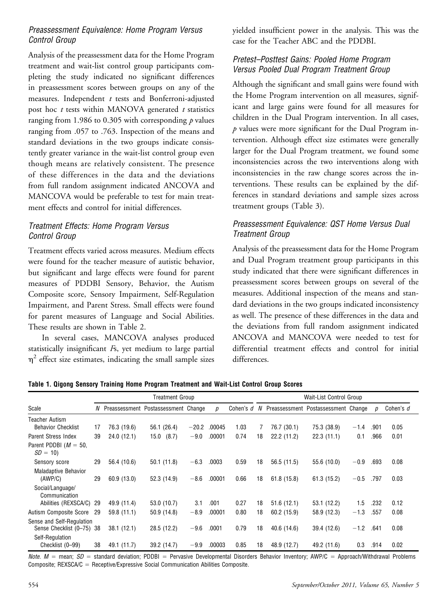#### Preassessment Equivalence: Home Program Versus Control Group

Analysis of the preassessment data for the Home Program treatment and wait-list control group participants completing the study indicated no significant differences in preassessment scores between groups on any of the measures. Independent  $t$  tests and Bonferroni-adjusted post hoc  $t$  tests within MANOVA generated  $t$  statistics ranging from 1.986 to 0.305 with corresponding  $p$  values ranging from .057 to .763. Inspection of the means and standard deviations in the two groups indicate consistently greater variance in the wait-list control group even though means are relatively consistent. The presence of these differences in the data and the deviations from full random assignment indicated ANCOVA and MANCOVA would be preferable to test for main treatment effects and control for initial differences.

#### Treatment Effects: Home Program Versus Control Group

Treatment effects varied across measures. Medium effects were found for the teacher measure of autistic behavior, but significant and large effects were found for parent measures of PDDBI Sensory, Behavior, the Autism Composite score, Sensory Impairment, Self-Regulation Impairment, and Parent Stress. Small effects were found for parent measures of Language and Social Abilities. These results are shown in Table 2.

In several cases, MANCOVA analyses produced statistically insignificant  $F<sub>s</sub>$ , yet medium to large partial  $\eta^2$  effect size estimates, indicating the small sample sizes

yielded insufficient power in the analysis. This was the case for the Teacher ABC and the PDDBI.

#### Pretest–Posttest Gains: Pooled Home Program Versus Pooled Dual Program Treatment Group

Although the significant and small gains were found with the Home Program intervention on all measures, significant and large gains were found for all measures for children in the Dual Program intervention. In all cases,  $p$  values were more significant for the Dual Program intervention. Although effect size estimates were generally larger for the Dual Program treatment, we found some inconsistencies across the two interventions along with inconsistencies in the raw change scores across the interventions. These results can be explained by the differences in standard deviations and sample sizes across treatment groups (Table 3).

#### Preassessment Equivalence: QST Home Versus Dual Treatment Group

Analysis of the preassessment data for the Home Program and Dual Program treatment group participants in this study indicated that there were significant differences in preassessment scores between groups on several of the measures. Additional inspection of the means and standard deviations in the two groups indicated inconsistency as well. The presence of these differences in the data and the deviations from full random assignment indicated ANCOVA and MANCOVA were needed to test for differential treatment effects and control for initial differences.

Table 1. Qigong Sensory Training Home Program Treatment and Wait-List Control Group Scores

|                                                        | <b>Treatment Group</b> |             |                                       |         |        |                  |    | Wait-List Control Group |                                       |        |      |           |  |
|--------------------------------------------------------|------------------------|-------------|---------------------------------------|---------|--------|------------------|----|-------------------------|---------------------------------------|--------|------|-----------|--|
| Scale                                                  |                        |             | N Preassessment Postassessment Change |         | p      | Cohen's <i>d</i> |    |                         | N Preassessment Postassessment Change |        | D    | Cohen's d |  |
| <b>Teacher Autism</b><br><b>Behavior Checklist</b>     | 17                     | 76.3 (19.6) | 56.1 (26.4)                           | $-20.2$ | .00045 | 1.03             |    | 76.7 (30.1)             | 75.3 (38.9)                           | $-1.4$ | .901 | 0.05      |  |
| <b>Parent Stress Index</b>                             | 39                     | 24.0(12.1)  | 15.0(8.7)                             | $-9.0$  | .00001 | 0.74             | 18 | 22.2(11.2)              | 22.3(11.1)                            | 0.1    | .966 | 0.01      |  |
| Parent PDDBI ( $M = 50$ ,<br>$SD = 10$                 |                        |             |                                       |         |        |                  |    |                         |                                       |        |      |           |  |
| Sensory score                                          | 29                     | 56.4 (10.6) | 50.1 (11.8)                           | $-6.3$  | .0003  | 0.59             | 18 | 56.5(11.5)              | 55.6 (10.0)                           | $-0.9$ | .693 | 0.08      |  |
| <b>Maladaptive Behavior</b><br>(AWP/C)                 | 29                     | 60.9(13.0)  | 52.3 (14.9)                           | $-8.6$  | .00001 | 0.66             | 18 | 61.8(15.8)              | 61.3(15.2)                            | $-0.5$ | .797 | 0.03      |  |
| Social/Language/<br>Communication                      |                        |             |                                       |         |        |                  |    |                         |                                       |        |      |           |  |
| Abilities (REXSCA/C)                                   | -29                    | 49.9 (11.4) | 53.0 (10.7)                           | 3.1     | .001   | 0.27             | 18 | 51.6(12.1)              | 53.1(12.2)                            | 1.5    | .232 | 0.12      |  |
| Autism Composite Score                                 | 29                     | 59.8 (11.1) | 50.9 (14.8)                           | $-8.9$  | .00001 | 0.80             | 18 | 60.2 (15.9)             | 58.9 (12.3)                           | $-1.3$ | .557 | 0.08      |  |
| Sense and Self-Regulation<br>Sense Checklist (0-75) 38 |                        | 38.1(12.1)  | 28.5 (12.2)                           | $-9.6$  | .0001  | 0.79             | 18 | 40.6 (14.6)             | 39.4 (12.6)                           | $-1.2$ | .641 | 0.08      |  |
| Self-Regulation<br>Checklist (0-99)                    | 38                     | 49.1 (11.7) | 39.2 (14.7)                           | $-9.9$  | .00003 | 0.85             | 18 | 48.9 (12.7)             | 49.2 (11.6)                           | 0.3    | .914 | 0.02      |  |

Note.  $M =$  mean;  $SD =$  standard deviation; PDDBI = Pervasive Developmental Disorders Behavior Inventory; AWP/C = Approach/Withdrawal Problems Composite; REXSCA/ $C =$  Receptive/Expressive Social Communication Abilities Composite.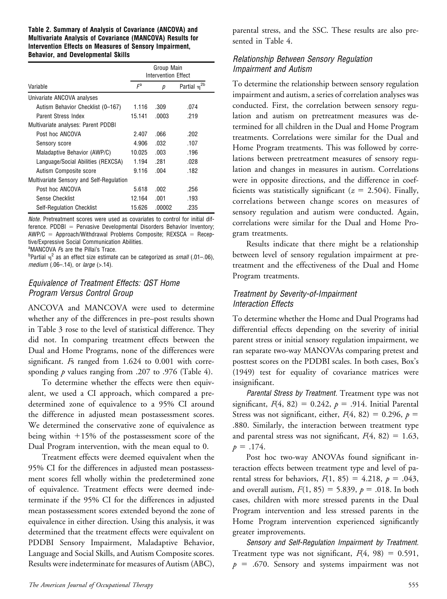#### Table 2. Summary of Analysis of Covariance (ANCOVA) and Multivariate Analysis of Covariance (MANCOVA) Results for Intervention Effects on Measures of Sensory Impairment, Behavior, and Developmental Skills

|                                          | Group Main<br><b>Intervention Effect</b> |        |                         |  |  |  |
|------------------------------------------|------------------------------------------|--------|-------------------------|--|--|--|
| Variable                                 | $\mathsf{F}^{\mathrm{a}}$                | D      | Partial n <sup>2b</sup> |  |  |  |
| Univariate ANCOVA analyses               |                                          |        |                         |  |  |  |
| Autism Behavior Checklist (0-167)        | 1.116                                    | .309   | .074                    |  |  |  |
| Parent Stress Index                      | 15.141                                   | .0003  | .219                    |  |  |  |
| Multivariate analyses: Parent PDDBI      |                                          |        |                         |  |  |  |
| Post hoc ANCOVA                          | 2.407                                    | .066   | -202                    |  |  |  |
| Sensory score                            | 4.906                                    | .032   | .107                    |  |  |  |
| Maladaptive Behavior (AWP/C)             | 10.025                                   | .003   | .196                    |  |  |  |
| Language/Social Abilities (REXCSA)       | 1.194                                    | .281   | .028                    |  |  |  |
| Autism Composite score                   | 9.116                                    | .004   | .182                    |  |  |  |
| Multivariate Sensory and Self-Regulation |                                          |        |                         |  |  |  |
| Post hoc ANCOVA                          | 5.618                                    | .002   | .256                    |  |  |  |
| Sense Checklist                          | 12.164                                   | .001   | .193                    |  |  |  |
| <b>Self-Regulation Checklist</b>         | 15.626                                   | .00002 | .235                    |  |  |  |

Note. Pretreatment scores were used as covariates to control for initial dif $f$ erence. PDDBI = Pervasive Developmental Disorders Behavior Inventory;  $AWP/C = Approach/Withdrawal Problems Composite; REXSCA = Recep$ tive/Expressive Social Communication Abilities.

<sup>a</sup>MANCOVA *F*s are the Pillai's Trace.

<sup>b</sup>Partial  $\eta^2$  as an effect size estimate can be categorized as small (.01–.06), medium (.06-.14), or large (>.14).

#### Equivalence of Treatment Effects: QST Home Program Versus Control Group

ANCOVA and MANCOVA were used to determine whether any of the differences in pre–post results shown in Table 3 rose to the level of statistical difference. They did not. In comparing treatment effects between the Dual and Home Programs, none of the differences were significant. *Fs* ranged from 1.624 to 0.001 with corresponding  $p$  values ranging from .207 to .976 (Table 4).

To determine whether the effects were then equivalent, we used a CI approach, which compared a predetermined zone of equivalence to a 95% CI around the difference in adjusted mean postassessment scores. We determined the conservative zone of equivalence as being within  $+15%$  of the postassessment score of the Dual Program intervention, with the mean equal to 0.

Treatment effects were deemed equivalent when the 95% CI for the differences in adjusted mean postassessment scores fell wholly within the predetermined zone of equivalence. Treatment effects were deemed indeterminate if the 95% CI for the differences in adjusted mean postassessment scores extended beyond the zone of equivalence in either direction. Using this analysis, it was determined that the treatment effects were equivalent on PDDBI Sensory Impairment, Maladaptive Behavior, Language and Social Skills, and Autism Composite scores. Results were indeterminate for measures of Autism (ABC),

parental stress, and the SSC. These results are also presented in Table 4.

#### Relationship Between Sensory Regulation Impairment and Autism

To determine the relationship between sensory regulation impairment and autism, a series of correlation analyses was conducted. First, the correlation between sensory regulation and autism on pretreatment measures was determined for all children in the Dual and Home Program treatments. Correlations were similar for the Dual and Home Program treatments. This was followed by correlations between pretreatment measures of sensory regulation and changes in measures in autism. Correlations were in opposite directions, and the difference in coefficients was statistically significant ( $z = 2.504$ ). Finally, correlations between change scores on measures of sensory regulation and autism were conducted. Again, correlations were similar for the Dual and Home Program treatments.

Results indicate that there might be a relationship between level of sensory regulation impairment at pretreatment and the effectiveness of the Dual and Home Program treatments.

#### Treatment by Severity-of-Impairment Interaction Effects

To determine whether the Home and Dual Programs had differential effects depending on the severity of initial parent stress or initial sensory regulation impairment, we ran separate two-way MANOVAs comparing pretest and posttest scores on the PDDBI scales. In both cases, Box's (1949) test for equality of covariance matrices were insignificant.

Parental Stress by Treatment. Treatment type was not significant,  $F(4, 82) = 0.242$ ,  $p = .914$ . Initial Parental Stress was not significant, either,  $F(4, 82) = 0.296$ ,  $p =$ .880. Similarly, the interaction between treatment type and parental stress was not significant,  $F(4, 82) = 1.63$ ,  $p = .174$ .

Post hoc two-way ANOVAs found significant interaction effects between treatment type and level of parental stress for behaviors,  $F(1, 85) = 4.218$ ,  $p = .043$ , and overall autism,  $F(1, 85) = 5.839$ ,  $p = .018$ . In both cases, children with more stressed parents in the Dual Program intervention and less stressed parents in the Home Program intervention experienced significantly greater improvements.

Sensory and Self-Regulation Impairment by Treatment. Treatment type was not significant,  $F(4, 98) = 0.591$ ,  $p = .670$ . Sensory and systems impairment was not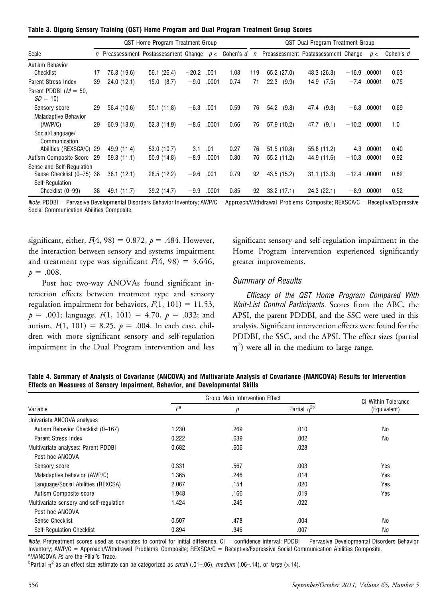|  |  |  |  |  |  |  |  |  |  | Table 3. Qigong Sensory Training (QST) Home Program and Dual Program Treatment Group Scores |  |  |
|--|--|--|--|--|--|--|--|--|--|---------------------------------------------------------------------------------------------|--|--|
|--|--|--|--|--|--|--|--|--|--|---------------------------------------------------------------------------------------------|--|--|

|                                                        |    | QST Home Program Treatment Group |                                                    |         |       |           |        | QST Dual Program Treatment Group |                                     |         |        |           |
|--------------------------------------------------------|----|----------------------------------|----------------------------------------------------|---------|-------|-----------|--------|----------------------------------|-------------------------------------|---------|--------|-----------|
| Scale                                                  |    |                                  | <i>n</i> Preassessment Postassessment Change $p <$ |         |       | Cohen's d | $\eta$ |                                  | Preassessment Postassessment Change |         | p<     | Cohen's d |
| Autism Behavior                                        |    |                                  |                                                    |         |       |           |        |                                  |                                     |         |        |           |
| Checklist                                              | 17 | 76.3 (19.6)                      | 56.1 (26.4)                                        | $-20.2$ | .001  | 1.03      | 119    | 65.2 (27.0)                      | 48.3 (26.3)                         | $-16.9$ | .00001 | 0.63      |
| Parent Stress Index                                    | 39 | 24.0(12.1)                       | (8.7)<br>15.0                                      | $-9.0$  | .0001 | 0.74      | 71     | 22.3<br>(9.9)                    | 14.9<br>(7.5)                       | $-7.4$  | .00001 | 0.75      |
| Parent PDDBI ( $M = 50$ ,<br>$SD = 10$                 |    |                                  |                                                    |         |       |           |        |                                  |                                     |         |        |           |
| Sensory score                                          | 29 | 56.4 (10.6)                      | 50.1(11.8)                                         | $-6.3$  | .001  | 0.59      | 76     | 54.2<br>(9.8)                    | (9.8)<br>47.4                       | $-6.8$  | .00001 | 0.69      |
| <b>Maladaptive Behavior</b><br>(AWP/C)                 | 29 | 60.9(13.0)                       | 52.3 (14.9)                                        | $-8.6$  | .0001 | 0.66      | 76     | 57.9 (10.2)                      | 47.7<br>(9.1)                       | $-10.2$ | .00001 | 1.0       |
| Social/Language/<br>Communication                      |    |                                  |                                                    |         |       |           |        |                                  |                                     |         |        |           |
| Abilities (REXSCA/C) 29                                |    | 49.9 (11.4)                      | 53.0 (10.7)                                        | 3.1     | .01   | 0.27      | 76     | 51.5 (10.8)                      | 55.8 (11.2)                         | 4.3     | .00001 | 0.40      |
| Autism Composite Score 29                              |    | 59.8(11.1)                       | 50.9(14.8)                                         | $-8.9$  | .0001 | 0.80      | 76     | 55.2 (11.2)                      | 44.9 (11.6)                         | $-10.3$ | .00001 | 0.92      |
| Sense and Self-Regulation<br>Sense Checklist (0-75) 38 |    | 38.1(12.1)                       | 28.5 (12.2)                                        | $-9.6$  | .001  | 0.79      | 92     | 43.5 (15.2)                      | 31.1(13.3)                          | $-12.4$ | .00001 | 0.82      |
| Self-Regulation<br>Checklist (0-99)                    | 38 | 49.1 (11.7)                      | 39.2 (14.7)                                        | $-9.9$  | .0001 | 0.85      | 92     | 33.2(17.1)                       | 24.3(22.1)                          | $-8.9$  | .00001 | 0.52      |

 $Note.$  PDDBI = Pervasive Developmental Disorders Behavior Inventory; AWP/C = Approach/Withdrawal Problems Composite; REXSCA/C = Receptive/Expressive Social Communication Abilities Composite.

significant, either,  $F(4, 98) = 0.872$ ,  $p = .484$ . However, the interaction between sensory and systems impairment and treatment type was significant  $F(4, 98) = 3.646$ ,  $p = .008$ .

Post hoc two-way ANOVAs found significant interaction effects between treatment type and sensory regulation impairment for behaviors,  $F(1, 101) = 11.53$ ,  $p = .001$ ; language,  $F(1, 101) = 4.70$ ,  $p = .032$ ; and autism,  $F(1, 101) = 8.25$ ,  $p = .004$ . In each case, children with more significant sensory and self-regulation impairment in the Dual Program intervention and less significant sensory and self-regulation impairment in the Home Program intervention experienced significantly greater improvements.

#### Summary of Results

Efficacy of the QST Home Program Compared With Wait-List Control Participants. Scores from the ABC, the APSI, the parent PDDBI, and the SSC were used in this analysis. Significant intervention effects were found for the PDDBI, the SSC, and the APSI. The effect sizes (partial  $\eta^2$ ) were all in the medium to large range.

|                                                                               | Table 4. Summary of Analysis of Covariance (ANCOVA) and Multivariate Analysis of Covariance (MANCOVA) Results for Intervention |  |
|-------------------------------------------------------------------------------|--------------------------------------------------------------------------------------------------------------------------------|--|
| Effects on Measures of Sensory Impairment, Behavior, and Developmental Skills |                                                                                                                                |  |

|                                          |       | Group Main Intervention Effect |                     | СI<br><b>Within Tolerance</b> |  |  |
|------------------------------------------|-------|--------------------------------|---------------------|-------------------------------|--|--|
| Variable                                 | $F^a$ | р                              | Partial $\eta^{2b}$ | (Equivalent)                  |  |  |
| Univariate ANCOVA analyses               |       |                                |                     |                               |  |  |
| Autism Behavior Checklist (0-167)        | 1.230 | .269                           | .010                | No                            |  |  |
| Parent Stress Index                      | 0.222 | .639                           | .002                | No                            |  |  |
| Multivariate analyses: Parent PDDBI      | 0.682 | .606                           | .028                |                               |  |  |
| Post hoc ANCOVA                          |       |                                |                     |                               |  |  |
| Sensory score                            | 0.331 | .567                           | .003                | Yes                           |  |  |
| Maladaptive behavior (AWP/C)             | 1.365 | .246                           | .014                | Yes                           |  |  |
| Language/Social Abilities (REXCSA)       | 2.067 | .154                           | .020                | Yes                           |  |  |
| Autism Composite score                   | 1.948 | .166                           | .019                | Yes                           |  |  |
| Multivariate sensory and self-regulation | 1.424 | .245                           | .022                |                               |  |  |
| Post hoc ANCOVA                          |       |                                |                     |                               |  |  |
| Sense Checklist                          | 0.507 | .478                           | .004                | No                            |  |  |
| Self-Regulation Checklist                | 0.894 | .346                           | .007                | No                            |  |  |

Note. Pretreatment scores used as covariates to control for initial difference.  $CI =$  confidence interval; PDDBI = Pervasive Developmental Disorders Behavior Inventory; AWP/C = Approach/Withdrawal Problems Composite; REXSCA/C = Receptive/Expressive Social Communication Abilities Composite. <sup>a</sup>MANCOVA *F*s are the Pillai's Trace.

<sup>b</sup>Partial  $\eta^2$  as an effect size estimate can be categorized as small (.01–.06), medium (.06–.14), or large (>.14).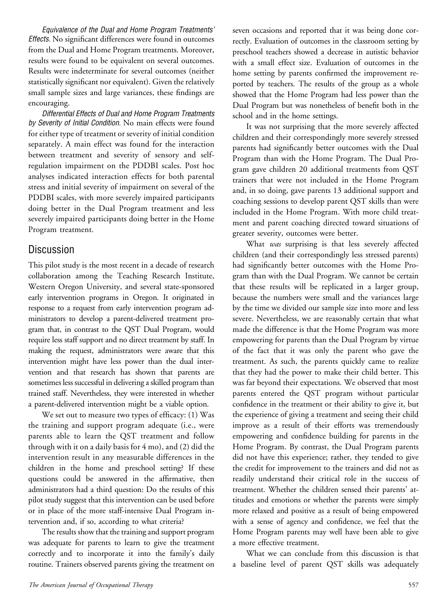Equivalence of the Dual and Home Program Treatments' Effects. No significant differences were found in outcomes from the Dual and Home Program treatments. Moreover, results were found to be equivalent on several outcomes. Results were indeterminate for several outcomes (neither statistically significant nor equivalent). Given the relatively small sample sizes and large variances, these findings are encouraging.

Differential Effects of Dual and Home Program Treatments by Severity of Initial Condition. No main effects were found for either type of treatment or severity of initial condition separately. A main effect was found for the interaction between treatment and severity of sensory and selfregulation impairment on the PDDBI scales. Post hoc analyses indicated interaction effects for both parental stress and initial severity of impairment on several of the PDDBI scales, with more severely impaired participants doing better in the Dual Program treatment and less severely impaired participants doing better in the Home Program treatment.

## Discussion

This pilot study is the most recent in a decade of research collaboration among the Teaching Research Institute, Western Oregon University, and several state-sponsored early intervention programs in Oregon. It originated in response to a request from early intervention program administrators to develop a parent-delivered treatment program that, in contrast to the QST Dual Program, would require less staff support and no direct treatment by staff. In making the request, administrators were aware that this intervention might have less power than the dual intervention and that research has shown that parents are sometimes less successful in delivering a skilled program than trained staff. Nevertheless, they were interested in whether a parent-delivered intervention might be a viable option.

We set out to measure two types of efficacy: (1) Was the training and support program adequate (i.e., were parents able to learn the QST treatment and follow through with it on a daily basis for 4 mo), and (2) did the intervention result in any measurable differences in the children in the home and preschool setting? If these questions could be answered in the affirmative, then administrators had a third question: Do the results of this pilot study suggest that this intervention can be used before or in place of the more staff-intensive Dual Program intervention and, if so, according to what criteria?

The results show that the training and support program was adequate for parents to learn to give the treatment correctly and to incorporate it into the family's daily routine. Trainers observed parents giving the treatment on

seven occasions and reported that it was being done correctly. Evaluation of outcomes in the classroom setting by preschool teachers showed a decrease in autistic behavior with a small effect size. Evaluation of outcomes in the home setting by parents confirmed the improvement reported by teachers. The results of the group as a whole showed that the Home Program had less power than the Dual Program but was nonetheless of benefit both in the school and in the home settings.

It was not surprising that the more severely affected children and their correspondingly more severely stressed parents had significantly better outcomes with the Dual Program than with the Home Program. The Dual Program gave children 20 additional treatments from QST trainers that were not included in the Home Program and, in so doing, gave parents 13 additional support and coaching sessions to develop parent QST skills than were included in the Home Program. With more child treatment and parent coaching directed toward situations of greater severity, outcomes were better.

What was surprising is that less severely affected children (and their correspondingly less stressed parents) had significantly better outcomes with the Home Program than with the Dual Program. We cannot be certain that these results will be replicated in a larger group, because the numbers were small and the variances large by the time we divided our sample size into more and less severe. Nevertheless, we are reasonably certain that what made the difference is that the Home Program was more empowering for parents than the Dual Program by virtue of the fact that it was only the parent who gave the treatment. As such, the parents quickly came to realize that they had the power to make their child better. This was far beyond their expectations. We observed that most parents entered the QST program without particular confidence in the treatment or their ability to give it, but the experience of giving a treatment and seeing their child improve as a result of their efforts was tremendously empowering and confidence building for parents in the Home Program. By contrast, the Dual Program parents did not have this experience; rather, they tended to give the credit for improvement to the trainers and did not as readily understand their critical role in the success of treatment. Whether the children sensed their parents' attitudes and emotions or whether the parents were simply more relaxed and positive as a result of being empowered with a sense of agency and confidence, we feel that the Home Program parents may well have been able to give a more effective treatment.

What we can conclude from this discussion is that a baseline level of parent QST skills was adequately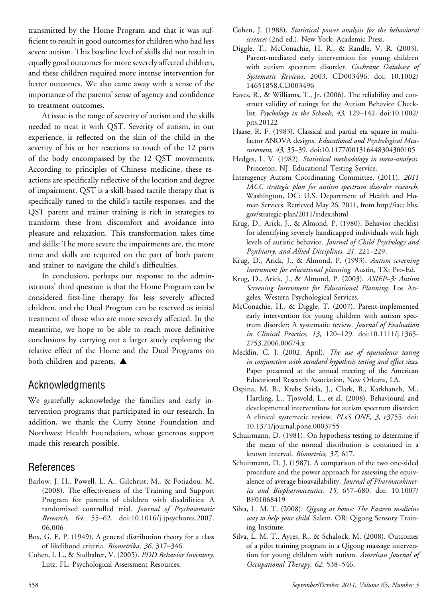transmitted by the Home Program and that it was sufficient to result in good outcomes for children who had less severe autism. This baseline level of skills did not result in equally good outcomes for more severely affected children, and these children required more intense intervention for better outcomes. We also came away with a sense of the importance of the parents' sense of agency and confidence to treatment outcomes.

At issue is the range of severity of autism and the skills needed to treat it with QST. Severity of autism, in our experience, is reflected on the skin of the child in the severity of his or her reactions to touch of the 12 parts of the body encompassed by the 12 QST movements. According to principles of Chinese medicine, these reactions are specifically reflective of the location and degree of impairment. QST is a skill-based tactile therapy that is specifically tuned to the child's tactile responses, and the QST parent and trainer training is rich in strategies to transform these from discomfort and avoidance into pleasure and relaxation. This transformation takes time and skills: The more severe the impairments are, the more time and skills are required on the part of both parent and trainer to navigate the child's difficulties.

In conclusion, perhaps our response to the administrators' third question is that the Home Program can be considered first-line therapy for less severely affected children, and the Dual Program can be reserved as initial treatment of those who are more severely affected. In the meantime, we hope to be able to reach more definitive conclusions by carrying out a larger study exploring the relative effect of the Home and the Dual Programs on both children and parents.  $\blacktriangle$ 

# Acknowledgments

We gratefully acknowledge the families and early intervention programs that participated in our research. In addition, we thank the Curry Stone Foundation and Northwest Health Foundation, whose generous support made this research possible.

# References

- Barlow, J. H., Powell, L. A., Gilchrist, M., & Fotiadou, M. (2008). The effectiveness of the Training and Support Program for parents of children with disabilities: A randomized controlled trial. Journal of Psychosomatic Research, 64, 55–62. doi:10.1016/j.jpsychores.2007. 06.006
- Box, G. E. P. (1949). A general distribution theory for a class of likelihood criteria. Biometrika, 36, 317–346.
- Cohen, I. L., & Sudhalter, V. (2005). PDD Behavior Inventory. Lutz, FL: Psychological Assessment Resources.
- Cohen, J. (1988). Statistical power analysis for the behavioral sciences (2nd ed.). New York: Academic Press.
- Diggle, T., McConachie, H. R., & Randle, V. R. (2003). Parent-mediated early intervention for young children with autism spectrum disorder. Cochrane Database of Systematic Reviews, 2003. CD003496. doi: 10.1002/ 14651858.CD003496
- Eaves, R., & Williams, T., Jr. (2006). The reliability and construct validity of ratings for the Autism Behavior Checklist. Psychology in the Schools, 43, 129–142. doi:10.1002/ pits.20122
- Haase, R. F. (1983). Classical and partial eta square in multifactor ANOVA designs. Educational and Psychological Measurement, 43, 35-39. doi:10.1177/001316448304300105
- Hedges, L. V. (1982). Statistical methodology in meta-analysis. Princeton, NJ: Educational Testing Service.
- Interagency Autism Coordinating Committee. (2011). 2011 IACC strategic plan for autism spectrum disorder research. Washington, DC: U.S. Department of Health and Human Services. Retrieved May 26, 2011, from http://iacc.hhs. gov/strategic-plan/2011/index.shtml
- Krug, D., Arick, J., & Almond, P. (1980). Behavior checklist for identifying severely handicapped individuals with high levels of autistic behavior. Journal of Child Psychology and Psychiatry, and Allied Disciplines, 21, 221–229.
- Krug, D., Arick, J., & Almond, P. (1993). Autism screening instrument for educational planning. Austin, TX: Pro-Ed.
- Krug, D., Arick, J., & Almond, P. (2003). ASIEP–3: Autism Screening Instrument for Educational Planning. Los Angeles: Western Psychological Services.
- McConachie, H., & Diggle, T. (2007). Parent-implemented early intervention for young children with autism spectrum disorder: A systematic review. Journal of Evaluation in Clinical Practice, 13, 120–129. doi:10.1111/j.1365- 2753.2006.00674.x
- Mecklin, C. J. (2002, April). The use of equivalence testing in conjunction with standard hypothesis testing and effect sizes. Paper presented at the annual meeting of the American Educational Research Association, New Orleans, LA.
- Ospina, M. B., Krebs Seida, J., Clark, B., Karkhaneh, M., Hartling, L., Tjosvold, L., et al. (2008). Behavioural and developmental interventions for autism spectrum disorder: A clinical systematic review. PLoS ONE, 3, e3755. doi: 10.1371/journal.pone.0003755
- Schuirmann, D. (1981). On hypothesis testing to determine if the mean of the normal distribution is contained in a known interval. Biometrics, 37, 617.
- Schuirmann, D. J. (1987). A comparison of the two one-sided procedure and the power approach for assessing the equivalence of average bioavailability. Journal of Pharmacokinetics and Biopharmaceutics, 15, 657–680. doi: 10.1007/ BF01068419
- Silva, L. M. T. (2008). Qigong at home: The Eastern medicine way to help your child. Salem, OR: Qigong Sensory Training Institute.
- Silva, L. M. T., Ayres, R., & Schalock, M. (2008). Outcomes of a pilot training program in a Qigong massage intervention for young children with autism. American Journal of Occupational Therapy, 62, 538–546.